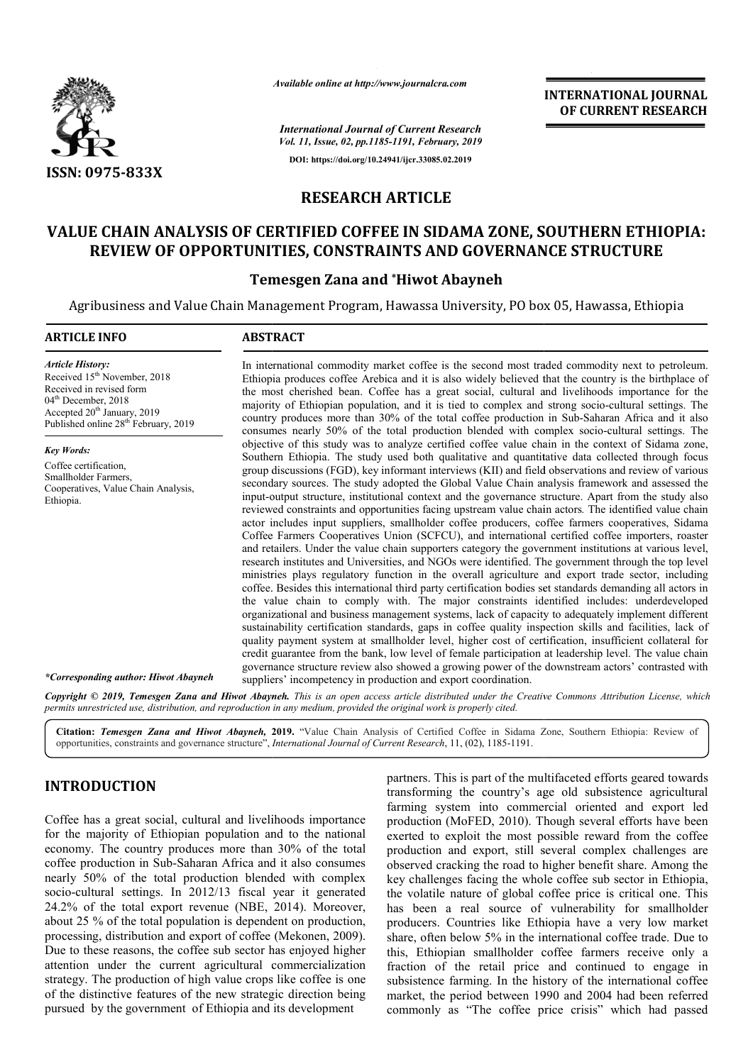

*Available online at http://www.journalcra.com*

# **OF CURRENT RESEARCH**

# **RESEARCH ARTICLE**

# **VALUE CHAIN ANALYSIS OF CERTIFIED COFFEE IN SIDAMA ZONE, SOUTHERN ETHIOPIA:**  E CHAIN ANALYSIS OF CERTIFIED COFFEE IN SIDAMA ZONE, SOUTHERN ETHI<br>REVIEW OF OPPORTUNITIES, CONSTRAINTS AND GOVERNANCE STRUCTURE

#### **Temesgen Zana and \*Hiwot Abayneh**

|                                                                                                                                                                                                                                                                                                                                                                                                                                                                                                                                                                                                                                                                                                                                                                                                                                                                                                                           |                                                                                                                                                                                                                                                                                                                                                                                                                                                                                                                                                                                                                                                                                                                                                                                                                                                                                                                                                                                                                                                                                                                                                                                                                                                                                                                                                                                                                                                                                                                                                                                                                                                                                                                                                                                                                      | <b>INTERNATIONAL JOURNAL</b><br>OF CURRENT RESEARCH                                                                                                                                                                                                                                                                                                                                                                                                                                                                                                                                                                                                                                                                                                                                                                                                                                                                                                                     |  |  |  |  |
|---------------------------------------------------------------------------------------------------------------------------------------------------------------------------------------------------------------------------------------------------------------------------------------------------------------------------------------------------------------------------------------------------------------------------------------------------------------------------------------------------------------------------------------------------------------------------------------------------------------------------------------------------------------------------------------------------------------------------------------------------------------------------------------------------------------------------------------------------------------------------------------------------------------------------|----------------------------------------------------------------------------------------------------------------------------------------------------------------------------------------------------------------------------------------------------------------------------------------------------------------------------------------------------------------------------------------------------------------------------------------------------------------------------------------------------------------------------------------------------------------------------------------------------------------------------------------------------------------------------------------------------------------------------------------------------------------------------------------------------------------------------------------------------------------------------------------------------------------------------------------------------------------------------------------------------------------------------------------------------------------------------------------------------------------------------------------------------------------------------------------------------------------------------------------------------------------------------------------------------------------------------------------------------------------------------------------------------------------------------------------------------------------------------------------------------------------------------------------------------------------------------------------------------------------------------------------------------------------------------------------------------------------------------------------------------------------------------------------------------------------------|-------------------------------------------------------------------------------------------------------------------------------------------------------------------------------------------------------------------------------------------------------------------------------------------------------------------------------------------------------------------------------------------------------------------------------------------------------------------------------------------------------------------------------------------------------------------------------------------------------------------------------------------------------------------------------------------------------------------------------------------------------------------------------------------------------------------------------------------------------------------------------------------------------------------------------------------------------------------------|--|--|--|--|
|                                                                                                                                                                                                                                                                                                                                                                                                                                                                                                                                                                                                                                                                                                                                                                                                                                                                                                                           |                                                                                                                                                                                                                                                                                                                                                                                                                                                                                                                                                                                                                                                                                                                                                                                                                                                                                                                                                                                                                                                                                                                                                                                                                                                                                                                                                                                                                                                                                                                                                                                                                                                                                                                                                                                                                      | <b>International Journal of Current Research</b>                                                                                                                                                                                                                                                                                                                                                                                                                                                                                                                                                                                                                                                                                                                                                                                                                                                                                                                        |  |  |  |  |
|                                                                                                                                                                                                                                                                                                                                                                                                                                                                                                                                                                                                                                                                                                                                                                                                                                                                                                                           | Vol. 11, Issue, 02, pp.1185-1191, February, 2019<br>DOI: https://doi.org/10.24941/ijcr.33085.02.2019                                                                                                                                                                                                                                                                                                                                                                                                                                                                                                                                                                                                                                                                                                                                                                                                                                                                                                                                                                                                                                                                                                                                                                                                                                                                                                                                                                                                                                                                                                                                                                                                                                                                                                                 |                                                                                                                                                                                                                                                                                                                                                                                                                                                                                                                                                                                                                                                                                                                                                                                                                                                                                                                                                                         |  |  |  |  |
| ISSN: 0975-833X                                                                                                                                                                                                                                                                                                                                                                                                                                                                                                                                                                                                                                                                                                                                                                                                                                                                                                           |                                                                                                                                                                                                                                                                                                                                                                                                                                                                                                                                                                                                                                                                                                                                                                                                                                                                                                                                                                                                                                                                                                                                                                                                                                                                                                                                                                                                                                                                                                                                                                                                                                                                                                                                                                                                                      |                                                                                                                                                                                                                                                                                                                                                                                                                                                                                                                                                                                                                                                                                                                                                                                                                                                                                                                                                                         |  |  |  |  |
| <b>RESEARCH ARTICLE</b>                                                                                                                                                                                                                                                                                                                                                                                                                                                                                                                                                                                                                                                                                                                                                                                                                                                                                                   |                                                                                                                                                                                                                                                                                                                                                                                                                                                                                                                                                                                                                                                                                                                                                                                                                                                                                                                                                                                                                                                                                                                                                                                                                                                                                                                                                                                                                                                                                                                                                                                                                                                                                                                                                                                                                      |                                                                                                                                                                                                                                                                                                                                                                                                                                                                                                                                                                                                                                                                                                                                                                                                                                                                                                                                                                         |  |  |  |  |
|                                                                                                                                                                                                                                                                                                                                                                                                                                                                                                                                                                                                                                                                                                                                                                                                                                                                                                                           |                                                                                                                                                                                                                                                                                                                                                                                                                                                                                                                                                                                                                                                                                                                                                                                                                                                                                                                                                                                                                                                                                                                                                                                                                                                                                                                                                                                                                                                                                                                                                                                                                                                                                                                                                                                                                      | VALUE CHAIN ANALYSIS OF CERTIFIED COFFEE IN SIDAMA ZONE, SOUTHERN ETHIOPIA:<br>REVIEW OF OPPORTUNITIES, CONSTRAINTS AND GOVERNANCE STRUCTURE                                                                                                                                                                                                                                                                                                                                                                                                                                                                                                                                                                                                                                                                                                                                                                                                                            |  |  |  |  |
|                                                                                                                                                                                                                                                                                                                                                                                                                                                                                                                                                                                                                                                                                                                                                                                                                                                                                                                           | <b>Temesgen Zana and *Hiwot Abayneh</b>                                                                                                                                                                                                                                                                                                                                                                                                                                                                                                                                                                                                                                                                                                                                                                                                                                                                                                                                                                                                                                                                                                                                                                                                                                                                                                                                                                                                                                                                                                                                                                                                                                                                                                                                                                              |                                                                                                                                                                                                                                                                                                                                                                                                                                                                                                                                                                                                                                                                                                                                                                                                                                                                                                                                                                         |  |  |  |  |
|                                                                                                                                                                                                                                                                                                                                                                                                                                                                                                                                                                                                                                                                                                                                                                                                                                                                                                                           |                                                                                                                                                                                                                                                                                                                                                                                                                                                                                                                                                                                                                                                                                                                                                                                                                                                                                                                                                                                                                                                                                                                                                                                                                                                                                                                                                                                                                                                                                                                                                                                                                                                                                                                                                                                                                      | Agribusiness and Value Chain Management Program, Hawassa University, PO box 05, Hawassa, Ethiopia                                                                                                                                                                                                                                                                                                                                                                                                                                                                                                                                                                                                                                                                                                                                                                                                                                                                       |  |  |  |  |
| <b>ARTICLE INFO</b>                                                                                                                                                                                                                                                                                                                                                                                                                                                                                                                                                                                                                                                                                                                                                                                                                                                                                                       | <b>ABSTRACT</b>                                                                                                                                                                                                                                                                                                                                                                                                                                                                                                                                                                                                                                                                                                                                                                                                                                                                                                                                                                                                                                                                                                                                                                                                                                                                                                                                                                                                                                                                                                                                                                                                                                                                                                                                                                                                      |                                                                                                                                                                                                                                                                                                                                                                                                                                                                                                                                                                                                                                                                                                                                                                                                                                                                                                                                                                         |  |  |  |  |
| <b>Article History:</b><br>Received 15 <sup>th</sup> November, 2018<br>Received in revised form<br>04 <sup>th</sup> December, 2018<br>Accepted 20 <sup>th</sup> January, 2019<br>Published online 28 <sup>th</sup> February, 2019                                                                                                                                                                                                                                                                                                                                                                                                                                                                                                                                                                                                                                                                                         | In international commodity market coffee is the second most traded commodity next to petroleum.<br>Ethiopia produces coffee Arebica and it is also widely believed that the country is the birthplace of<br>the most cherished bean. Coffee has a great social, cultural and livelihoods importance for the<br>majority of Ethiopian population, and it is tied to complex and strong socio-cultural settings. The<br>country produces more than 30% of the total coffee production in Sub-Saharan Africa and it also<br>consumes nearly 50% of the total production blended with complex socio-cultural settings. The                                                                                                                                                                                                                                                                                                                                                                                                                                                                                                                                                                                                                                                                                                                                                                                                                                                                                                                                                                                                                                                                                                                                                                                               |                                                                                                                                                                                                                                                                                                                                                                                                                                                                                                                                                                                                                                                                                                                                                                                                                                                                                                                                                                         |  |  |  |  |
| <b>Key Words:</b><br>Coffee certification,<br>Smallholder Farmers,<br>Cooperatives, Value Chain Analysis,<br>Ethiopia.                                                                                                                                                                                                                                                                                                                                                                                                                                                                                                                                                                                                                                                                                                                                                                                                    | objective of this study was to analyze certified coffee value chain in the context of Sidama zone,<br>Southern Ethiopia. The study used both qualitative and quantitative data collected through focus<br>group discussions (FGD), key informant interviews (KII) and field observations and review of various<br>secondary sources. The study adopted the Global Value Chain analysis framework and assessed the<br>input-output structure, institutional context and the governance structure. Apart from the study also<br>reviewed constraints and opportunities facing upstream value chain actors. The identified value chain<br>actor includes input suppliers, smallholder coffee producers, coffee farmers cooperatives, Sidama<br>Coffee Farmers Cooperatives Union (SCFCU), and international certified coffee importers, roaster<br>and retailers. Under the value chain supporters category the government institutions at various level,<br>research institutes and Universities, and NGOs were identified. The government through the top level<br>ministries plays regulatory function in the overall agriculture and export trade sector, including<br>coffee. Besides this international third party certification bodies set standards demanding all actors in<br>the value chain to comply with. The major constraints identified includes: underdeveloped<br>organizational and business management systems, lack of capacity to adequately implement different<br>sustainability certification standards, gaps in coffee quality inspection skills and facilities, lack of<br>quality payment system at smallholder level, higher cost of certification, insufficient collateral for<br>credit guarantee from the bank, low level of female participation at leadership level. The value chain |                                                                                                                                                                                                                                                                                                                                                                                                                                                                                                                                                                                                                                                                                                                                                                                                                                                                                                                                                                         |  |  |  |  |
| *Corresponding author: Hiwot Abayneh                                                                                                                                                                                                                                                                                                                                                                                                                                                                                                                                                                                                                                                                                                                                                                                                                                                                                      |                                                                                                                                                                                                                                                                                                                                                                                                                                                                                                                                                                                                                                                                                                                                                                                                                                                                                                                                                                                                                                                                                                                                                                                                                                                                                                                                                                                                                                                                                                                                                                                                                                                                                                                                                                                                                      | governance structure review also showed a growing power of the downstream actors' contrasted with                                                                                                                                                                                                                                                                                                                                                                                                                                                                                                                                                                                                                                                                                                                                                                                                                                                                       |  |  |  |  |
| suppliers' incompetency in production and export coordination.<br>Copyright © 2019, Temesgen Zana and Hiwot Abayneh. This is an open access article distributed under the Creative Commons Attribution License, which                                                                                                                                                                                                                                                                                                                                                                                                                                                                                                                                                                                                                                                                                                     |                                                                                                                                                                                                                                                                                                                                                                                                                                                                                                                                                                                                                                                                                                                                                                                                                                                                                                                                                                                                                                                                                                                                                                                                                                                                                                                                                                                                                                                                                                                                                                                                                                                                                                                                                                                                                      |                                                                                                                                                                                                                                                                                                                                                                                                                                                                                                                                                                                                                                                                                                                                                                                                                                                                                                                                                                         |  |  |  |  |
| permits unrestricted use, distribution, and reproduction in any medium, provided the original work is properly cited.                                                                                                                                                                                                                                                                                                                                                                                                                                                                                                                                                                                                                                                                                                                                                                                                     |                                                                                                                                                                                                                                                                                                                                                                                                                                                                                                                                                                                                                                                                                                                                                                                                                                                                                                                                                                                                                                                                                                                                                                                                                                                                                                                                                                                                                                                                                                                                                                                                                                                                                                                                                                                                                      |                                                                                                                                                                                                                                                                                                                                                                                                                                                                                                                                                                                                                                                                                                                                                                                                                                                                                                                                                                         |  |  |  |  |
| opportunities, constraints and governance structure", International Journal of Current Research, 11, (02), 1185-1191.                                                                                                                                                                                                                                                                                                                                                                                                                                                                                                                                                                                                                                                                                                                                                                                                     |                                                                                                                                                                                                                                                                                                                                                                                                                                                                                                                                                                                                                                                                                                                                                                                                                                                                                                                                                                                                                                                                                                                                                                                                                                                                                                                                                                                                                                                                                                                                                                                                                                                                                                                                                                                                                      | Citation: Temesgen Zana and Hiwot Abayneh, 2019. "Value Chain Analysis of Certified Coffee in Sidama Zone, Southern Ethiopia: Review of                                                                                                                                                                                                                                                                                                                                                                                                                                                                                                                                                                                                                                                                                                                                                                                                                                 |  |  |  |  |
| <b>INTRODUCTION</b>                                                                                                                                                                                                                                                                                                                                                                                                                                                                                                                                                                                                                                                                                                                                                                                                                                                                                                       |                                                                                                                                                                                                                                                                                                                                                                                                                                                                                                                                                                                                                                                                                                                                                                                                                                                                                                                                                                                                                                                                                                                                                                                                                                                                                                                                                                                                                                                                                                                                                                                                                                                                                                                                                                                                                      | partners. This is part of the multifaceted efforts geared towards<br>transforming the country's age old subsistence agricultural                                                                                                                                                                                                                                                                                                                                                                                                                                                                                                                                                                                                                                                                                                                                                                                                                                        |  |  |  |  |
| Coffee has a great social, cultural and livelihoods importance<br>for the majority of Ethiopian population and to the national<br>economy. The country produces more than 30% of the total<br>coffee production in Sub-Saharan Africa and it also consumes<br>nearly 50% of the total production blended with complex<br>socio-cultural settings. In 2012/13 fiscal year it generated<br>24.2% of the total export revenue (NBE, 2014). Moreover,<br>about 25 % of the total population is dependent on production,<br>processing, distribution and export of coffee (Mekonen, 2009).<br>Due to these reasons, the coffee sub sector has enjoyed higher<br>attention under the current agricultural commercialization<br>strategy. The production of high value crops like coffee is one<br>of the distinctive features of the new strategic direction being<br>pursued by the government of Ethiopia and its development |                                                                                                                                                                                                                                                                                                                                                                                                                                                                                                                                                                                                                                                                                                                                                                                                                                                                                                                                                                                                                                                                                                                                                                                                                                                                                                                                                                                                                                                                                                                                                                                                                                                                                                                                                                                                                      | farming system into commercial oriented and export led<br>production (MoFED, 2010). Though several efforts have been<br>exerted to exploit the most possible reward from the coffee<br>production and export, still several complex challenges are<br>observed cracking the road to higher benefit share. Among the<br>key challenges facing the whole coffee sub sector in Ethiopia,<br>the volatile nature of global coffee price is critical one. This<br>has been a real source of vulnerability for smallholder<br>producers. Countries like Ethiopia have a very low market<br>share, often below 5% in the international coffee trade. Due to<br>this, Ethiopian smallholder coffee farmers receive only a<br>fraction of the retail price and continued to engage in<br>subsistence farming. In the history of the international coffee<br>market, the period between 1990 and 2004 had been referred<br>commonly as "The coffee price crisis" which had passed |  |  |  |  |

### **INTRODUCTION**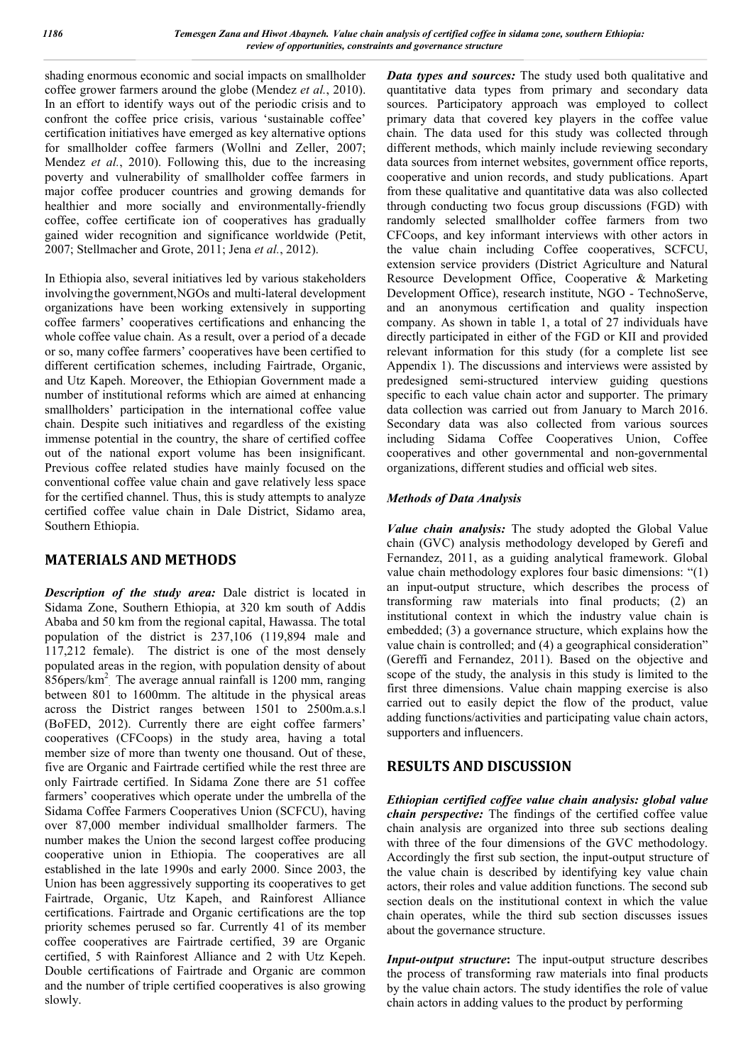shading enormous economic and social impacts on smallholder coffee grower farmers around the globe (Mendez *et al.*, 2010). In an effort to identify ways out of the periodic crisis and to confront the coffee price crisis, various 'sustainable coffee' certification initiatives have emerged as key alternative options for smallholder coffee farmers (Wollni and Zeller, 2007; Mendez *et al.*, 2010). Following this, due to the increasing poverty and vulnerability of smallholder coffee farmers in major coffee producer countries and growing demands for healthier and more socially and environmentally-friendly coffee, coffee certificate ion of cooperatives has gradually gained wider recognition and significance worldwide (Petit, 2007; Stellmacher and Grote, 2011; Jena *et al.*, 2012).

In Ethiopia also, several initiatives led by various stakeholders involvingthe government,NGOs and multi-lateral development organizations have been working extensively in supporting coffee farmers' cooperatives certifications and enhancing the whole coffee value chain. As a result, over a period of a decade or so, many coffee farmers' cooperatives have been certified to different certification schemes, including Fairtrade, Organic, and Utz Kapeh. Moreover, the Ethiopian Government made a number of institutional reforms which are aimed at enhancing smallholders' participation in the international coffee value chain. Despite such initiatives and regardless of the existing immense potential in the country, the share of certified coffee out of the national export volume has been insignificant. Previous coffee related studies have mainly focused on the conventional coffee value chain and gave relatively less space for the certified channel. Thus, this is study attempts to analyze certified coffee value chain in Dale District, Sidamo area, Southern Ethiopia.

# **MATERIALS AND METHODS**

*Description of the study area:* Dale district is located in Sidama Zone, Southern Ethiopia, at 320 km south of Addis Ababa and 50 km from the regional capital, Hawassa. The total population of the district is 237,106 (119,894 male and 117,212 female). The district is one of the most densely populated areas in the region, with population density of about  $856$ pers/km<sup>2</sup> The average annual rainfall is 1200 mm, ranging between 801 to 1600mm. The altitude in the physical areas across the District ranges between 1501 to 2500m.a.s.l (BoFED, 2012). Currently there are eight coffee farmers' cooperatives (CFCoops) in the study area, having a total member size of more than twenty one thousand. Out of these, five are Organic and Fairtrade certified while the rest three are only Fairtrade certified. In Sidama Zone there are 51 coffee farmers' cooperatives which operate under the umbrella of the Sidama Coffee Farmers Cooperatives Union (SCFCU), having over 87,000 member individual smallholder farmers. The number makes the Union the second largest coffee producing cooperative union in Ethiopia. The cooperatives are all established in the late 1990s and early 2000. Since 2003, the Union has been aggressively supporting its cooperatives to get Fairtrade, Organic, Utz Kapeh, and Rainforest Alliance certifications. Fairtrade and Organic certifications are the top priority schemes perused so far. Currently 41 of its member coffee cooperatives are Fairtrade certified, 39 are Organic certified, 5 with Rainforest Alliance and 2 with Utz Kepeh. Double certifications of Fairtrade and Organic are common and the number of triple certified cooperatives is also growing slowly.

*Data types and sources:* The study used both qualitative and quantitative data types from primary and secondary data sources. Participatory approach was employed to collect primary data that covered key players in the coffee value chain. The data used for this study was collected through different methods, which mainly include reviewing secondary data sources from internet websites, government office reports, cooperative and union records, and study publications. Apart from these qualitative and quantitative data was also collected through conducting two focus group discussions (FGD) with randomly selected smallholder coffee farmers from two CFCoops, and key informant interviews with other actors in the value chain including Coffee cooperatives, SCFCU, extension service providers (District Agriculture and Natural Resource Development Office, Cooperative & Marketing Development Office), research institute, NGO - TechnoServe, and an anonymous certification and quality inspection company. As shown in table 1, a total of 27 individuals have directly participated in either of the FGD or KII and provided relevant information for this study (for a complete list see Appendix 1). The discussions and interviews were assisted by predesigned semi-structured interview guiding questions specific to each value chain actor and supporter. The primary data collection was carried out from January to March 2016. Secondary data was also collected from various sources including Sidama Coffee Cooperatives Union, Coffee cooperatives and other governmental and non-governmental organizations, different studies and official web sites.

#### *Methods of Data Analysis*

*Value chain analysis:* The study adopted the Global Value chain (GVC) analysis methodology developed by Gerefi and Fernandez, 2011, as a guiding analytical framework. Global value chain methodology explores four basic dimensions: "(1) an input-output structure, which describes the process of transforming raw materials into final products; (2) an institutional context in which the industry value chain is embedded; (3) a governance structure, which explains how the value chain is controlled; and (4) a geographical consideration" (Gereffi and Fernandez, 2011). Based on the objective and scope of the study, the analysis in this study is limited to the first three dimensions. Value chain mapping exercise is also carried out to easily depict the flow of the product, value adding functions/activities and participating value chain actors, supporters and influencers.

# **RESULTS AND DISCUSSION**

*Ethiopian certified coffee value chain analysis: global value chain perspective:* The findings of the certified coffee value chain analysis are organized into three sub sections dealing with three of the four dimensions of the GVC methodology. Accordingly the first sub section, the input-output structure of the value chain is described by identifying key value chain actors, their roles and value addition functions. The second sub section deals on the institutional context in which the value chain operates, while the third sub section discusses issues about the governance structure.

*Input-output structure***:** The input-output structure describes the process of transforming raw materials into final products by the value chain actors. The study identifies the role of value chain actors in adding values to the product by performing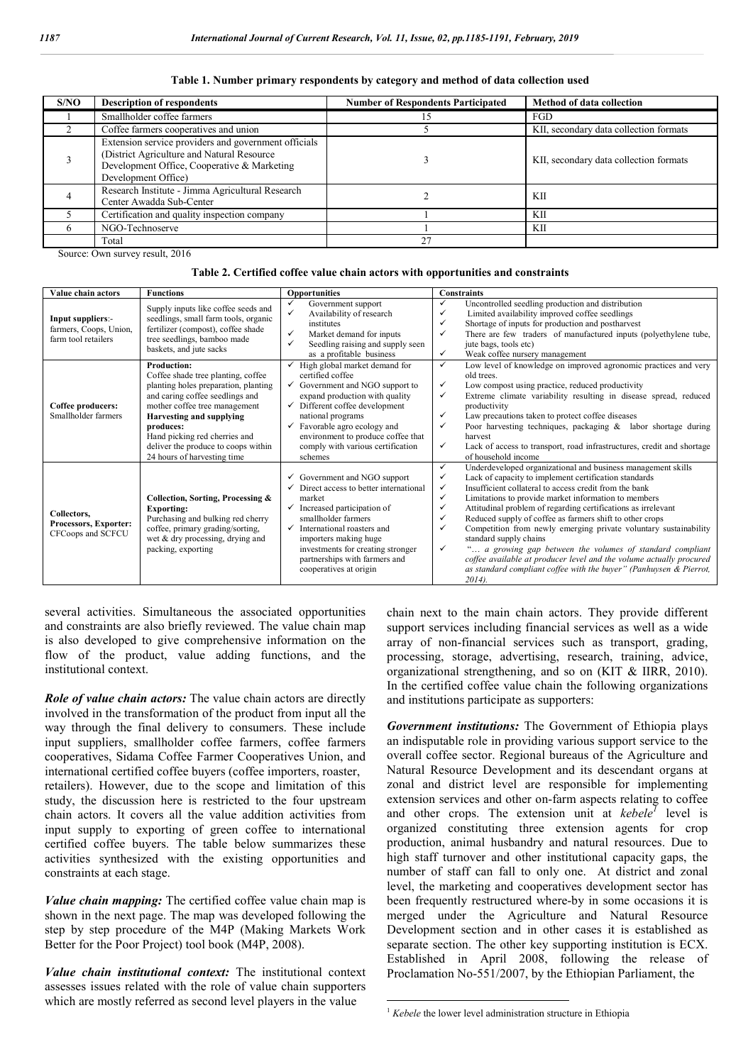| S/NO         | <b>Description of respondents</b>                                                                                                                                        | <b>Number of Respondents Participated</b> | Method of data collection              |
|--------------|--------------------------------------------------------------------------------------------------------------------------------------------------------------------------|-------------------------------------------|----------------------------------------|
|              | Smallholder coffee farmers                                                                                                                                               |                                           | FGD                                    |
|              | Coffee farmers cooperatives and union                                                                                                                                    |                                           | KII, secondary data collection formats |
|              | Extension service providers and government officials<br>(District Agriculture and Natural Resource<br>Development Office, Cooperative & Marketing<br>Development Office) |                                           | KII, secondary data collection formats |
|              | Research Institute - Jimma Agricultural Research<br>Center Awadda Sub-Center                                                                                             |                                           | KП                                     |
|              | Certification and quality inspection company                                                                                                                             |                                           | KП                                     |
| <sub>6</sub> | NGO-Technoserve                                                                                                                                                          |                                           | KП                                     |
|              | Total                                                                                                                                                                    | 27                                        |                                        |

#### **Table 1. Number primary respondents by category and method of data collection used**

Source: Own survey result, 2016

| Value chain actors                                                 | <b>Functions</b>                                                                                                                                                                                                                                                                                                            | <b>Opportunities</b>                                                                                                                                                                                                                                                                                                             | <b>Constraints</b>                                                                                                                                                                                                                                                                                                                                                                                                                                                                                                                                                                                                                                                                                                                                                                     |
|--------------------------------------------------------------------|-----------------------------------------------------------------------------------------------------------------------------------------------------------------------------------------------------------------------------------------------------------------------------------------------------------------------------|----------------------------------------------------------------------------------------------------------------------------------------------------------------------------------------------------------------------------------------------------------------------------------------------------------------------------------|----------------------------------------------------------------------------------------------------------------------------------------------------------------------------------------------------------------------------------------------------------------------------------------------------------------------------------------------------------------------------------------------------------------------------------------------------------------------------------------------------------------------------------------------------------------------------------------------------------------------------------------------------------------------------------------------------------------------------------------------------------------------------------------|
| Input suppliers:-<br>farmers, Coops, Union,<br>farm tool retailers | Supply inputs like coffee seeds and<br>seedlings, small farm tools, organic<br>fertilizer (compost), coffee shade<br>tree seedlings, bamboo made<br>baskets, and jute sacks                                                                                                                                                 | ✓<br>Government support<br>✓<br>Availability of research<br>institutes<br>Market demand for inputs<br>✓<br>✓<br>Seedling raising and supply seen<br>as a profitable business                                                                                                                                                     | $\checkmark$<br>Uncontrolled seedling production and distribution<br>Limited availability improved coffee seedlings<br>✓<br>Shortage of inputs for production and postharvest<br>$\checkmark$<br>There are few traders of manufactured inputs (polyethylene tube,<br>✓<br>jute bags, tools etc)<br>$\checkmark$<br>Weak coffee nursery management                                                                                                                                                                                                                                                                                                                                                                                                                                      |
| Coffee producers:<br>Smallholder farmers                           | <b>Production:</b><br>Coffee shade tree planting, coffee<br>planting holes preparation, planting<br>and caring coffee seedlings and<br>mother coffee tree management<br><b>Harvesting and supplying</b><br>produces:<br>Hand picking red cherries and<br>deliver the produce to coops within<br>24 hours of harvesting time | High global market demand for<br>certified coffee<br>Government and NGO support to<br>expand production with quality<br>$\checkmark$ Different coffee development<br>national programs<br>Favorable agro ecology and<br>environment to produce coffee that<br>comply with various certification<br>schemes                       | $\checkmark$<br>Low level of knowledge on improved agronomic practices and very<br>old trees.<br>Low compost using practice, reduced productivity<br>$\checkmark$<br>$\checkmark$<br>Extreme climate variability resulting in disease spread, reduced<br>productivity<br>Law precautions taken to protect coffee diseases<br>$\checkmark$<br>$\checkmark$<br>Poor harvesting techniques, packaging &<br>labor shortage during<br>harvest<br>Lack of access to transport, road infrastructures, credit and shortage<br>$\checkmark$<br>of household income                                                                                                                                                                                                                              |
| Collectors.<br>Processors, Exporter:<br>CFCoops and SCFCU          | Collection, Sorting, Processing &<br><b>Exporting:</b><br>Purchasing and bulking red cherry<br>coffee, primary grading/sorting,<br>wet & dry processing, drying and<br>packing, exporting                                                                                                                                   | $\checkmark$ Government and NGO support<br>$\checkmark$ Direct access to better international<br>market<br>$\checkmark$ Increased participation of<br>smallholder farmers<br>International roasters and<br>importers making huge<br>investments for creating stronger<br>partnerships with farmers and<br>cooperatives at origin | Underdeveloped organizational and business management skills<br>$\checkmark$<br>$\checkmark$<br>Lack of capacity to implement certification standards<br>Insufficient collateral to access credit from the bank<br>$\checkmark$<br>$\checkmark$<br>Limitations to provide market information to members<br>Attitudinal problem of regarding certifications as irrelevant<br>✓<br>Reduced supply of coffee as farmers shift to other crops<br>✓<br>Competition from newly emerging private voluntary sustainability<br>✓<br>standard supply chains<br>a growing gap between the volumes of standard compliant<br>$\checkmark$<br>coffee available at producer level and the volume actually procured<br>as standard compliant coffee with the buyer" (Panhuysen & Pierrot,<br>$2014$ ). |

several activities. Simultaneous the associated opportunities and constraints are also briefly reviewed. The value chain map is also developed to give comprehensive information on the flow of the product, value adding functions, and the institutional context.

*Role of value chain actors:* The value chain actors are directly involved in the transformation of the product from input all the way through the final delivery to consumers. These include input suppliers, smallholder coffee farmers, coffee farmers cooperatives, Sidama Coffee Farmer Cooperatives Union, and international certified coffee buyers (coffee importers, roaster, retailers). However, due to the scope and limitation of this study, the discussion here is restricted to the four upstream chain actors. It covers all the value addition activities from input supply to exporting of green coffee to international certified coffee buyers. The table below summarizes these activities synthesized with the existing opportunities and constraints at each stage.

*Value chain mapping:* The certified coffee value chain map is shown in the next page. The map was developed following the step by step procedure of the M4P (Making Markets Work Better for the Poor Project) tool book (M4P, 2008).

*Value chain institutional context:* The institutional context assesses issues related with the role of value chain supporters which are mostly referred as second level players in the value

chain next to the main chain actors. They provide different support services including financial services as well as a wide array of non-financial services such as transport, grading, processing, storage, advertising, research, training, advice, organizational strengthening, and so on (KIT & IIRR, 2010). In the certified coffee value chain the following organizations and institutions participate as supporters:

*Government institutions:* The Government of Ethiopia plays an indisputable role in providing various support service to the overall coffee sector. Regional bureaus of the Agriculture and Natural Resource Development and its descendant organs at zonal and district level are responsible for implementing extension services and other on-farm aspects relating to coffee and other crops. The extension unit at *kebele<sup>1</sup>* level is organized constituting three extension agents for crop production, animal husbandry and natural resources. Due to high staff turnover and other institutional capacity gaps, the number of staff can fall to only one. At district and zonal level, the marketing and cooperatives development sector has been frequently restructured where-by in some occasions it is merged under the Agriculture and Natural Resource Development section and in other cases it is established as separate section. The other key supporting institution is ECX. Established in April 2008, following the release of Proclamation No-551/2007, by the Ethiopian Parliament, the

<sup>&</sup>lt;sup>1</sup> *Kebele* the lower level administration structure in Ethiopia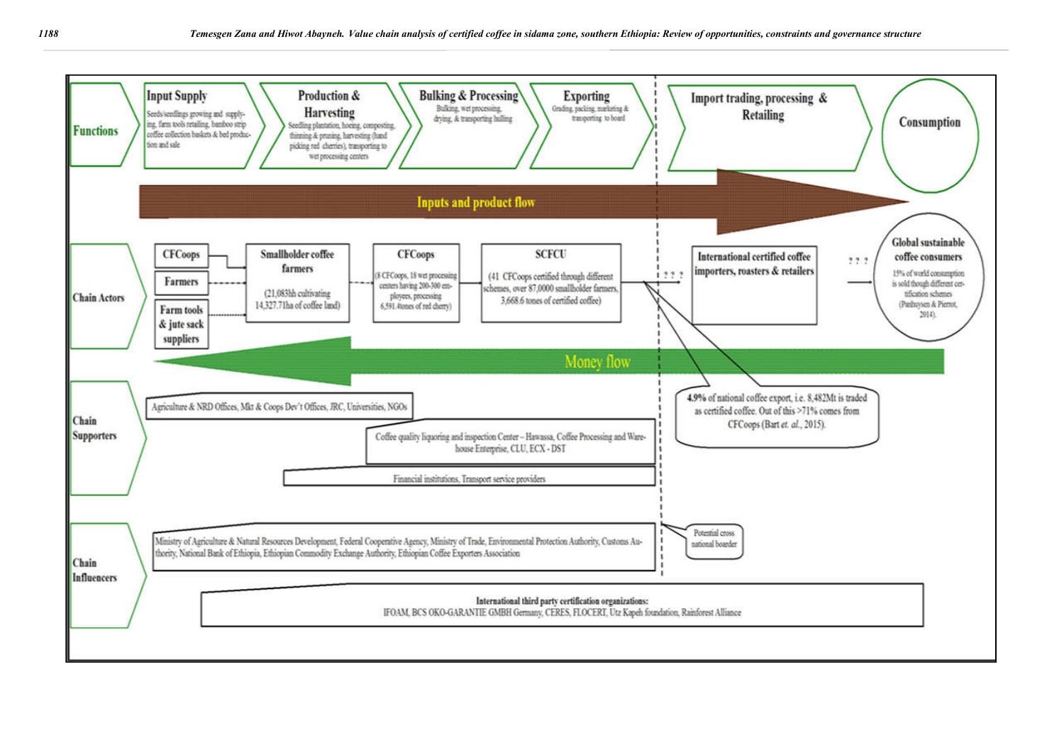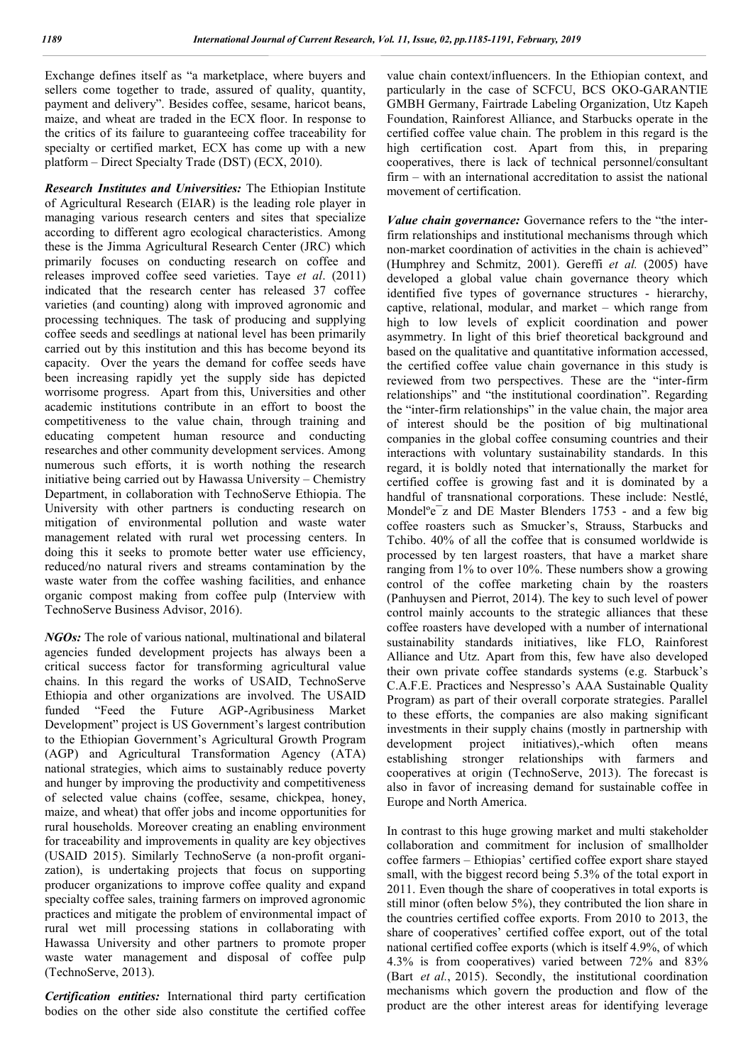Exchange defines itself as "a marketplace, where buyers and sellers come together to trade, assured of quality, quantity, payment and delivery". Besides coffee, sesame, haricot beans, maize, and wheat are traded in the ECX floor. In response to the critics of its failure to guaranteeing coffee traceability for specialty or certified market, ECX has come up with a new platform – Direct Specialty Trade (DST) (ECX, 2010).

*Research Institutes and Universities:* The Ethiopian Institute of Agricultural Research (EIAR) is the leading role player in managing various research centers and sites that specialize according to different agro ecological characteristics. Among these is the Jimma Agricultural Research Center (JRC) which primarily focuses on conducting research on coffee and releases improved coffee seed varieties. Taye *et al*. (2011) indicated that the research center has released 37 coffee varieties (and counting) along with improved agronomic and processing techniques. The task of producing and supplying coffee seeds and seedlings at national level has been primarily carried out by this institution and this has become beyond its capacity. Over the years the demand for coffee seeds have been increasing rapidly yet the supply side has depicted worrisome progress. Apart from this, Universities and other academic institutions contribute in an effort to boost the competitiveness to the value chain, through training and educating competent human resource and conducting researches and other community development services. Among numerous such efforts, it is worth nothing the research initiative being carried out by Hawassa University – Chemistry Department, in collaboration with TechnoServe Ethiopia. The University with other partners is conducting research on mitigation of environmental pollution and waste water management related with rural wet processing centers. In doing this it seeks to promote better water use efficiency, reduced/no natural rivers and streams contamination by the waste water from the coffee washing facilities, and enhance organic compost making from coffee pulp (Interview with TechnoServe Business Advisor, 2016).

*NGOs:* The role of various national, multinational and bilateral agencies funded development projects has always been a critical success factor for transforming agricultural value chains. In this regard the works of USAID, TechnoServe Ethiopia and other organizations are involved. The USAID funded "Feed the Future AGP-Agribusiness Market Development" project is US Government's largest contribution to the Ethiopian Government's Agricultural Growth Program (AGP) and Agricultural Transformation Agency (ATA) national strategies, which aims to sustainably reduce poverty and hunger by improving the productivity and competitiveness of selected value chains (coffee, sesame, chickpea, honey, maize, and wheat) that offer jobs and income opportunities for rural households. Moreover creating an enabling environment for traceability and improvements in quality are key objectives (USAID 2015). Similarly TechnoServe (a non-profit organization), is undertaking projects that focus on supporting producer organizations to improve coffee quality and expand specialty coffee sales, training farmers on improved agronomic practices and mitigate the problem of environmental impact of rural wet mill processing stations in collaborating with Hawassa University and other partners to promote proper waste water management and disposal of coffee pulp (TechnoServe, 2013).

*Certification entities:* International third party certification bodies on the other side also constitute the certified coffee

value chain context/influencers. In the Ethiopian context, and particularly in the case of SCFCU, BCS OKO-GARANTIE GMBH Germany, Fairtrade Labeling Organization, Utz Kapeh Foundation, Rainforest Alliance, and Starbucks operate in the certified coffee value chain. The problem in this regard is the high certification cost. Apart from this, in preparing cooperatives, there is lack of technical personnel/consultant firm – with an international accreditation to assist the national movement of certification.

*Value chain governance:* Governance refers to the "the interfirm relationships and institutional mechanisms through which non-market coordination of activities in the chain is achieved" (Humphrey and Schmitz, 2001). Gereffi *et al.* (2005) have developed a global value chain governance theory which identified five types of governance structures - hierarchy, captive, relational, modular, and market – which range from high to low levels of explicit coordination and power asymmetry. In light of this brief theoretical background and based on the qualitative and quantitative information accessed, the certified coffee value chain governance in this study is reviewed from two perspectives. These are the "inter-firm relationships" and "the institutional coordination". Regarding the "inter-firm relationships" in the value chain, the major area of interest should be the position of big multinational companies in the global coffee consuming countries and their interactions with voluntary sustainability standards. In this regard, it is boldly noted that internationally the market for certified coffee is growing fast and it is dominated by a handful of transnational corporations. These include: Nestlé, Mondelºe¯z and DE Master Blenders 1753 - and a few big coffee roasters such as Smucker's, Strauss, Starbucks and Tchibo. 40% of all the coffee that is consumed worldwide is processed by ten largest roasters, that have a market share ranging from 1% to over 10%. These numbers show a growing control of the coffee marketing chain by the roasters (Panhuysen and Pierrot, 2014). The key to such level of power control mainly accounts to the strategic alliances that these coffee roasters have developed with a number of international sustainability standards initiatives, like FLO, Rainforest Alliance and Utz. Apart from this, few have also developed their own private coffee standards systems (e.g. Starbuck's C.A.F.E. Practices and Nespresso's AAA Sustainable Quality Program) as part of their overall corporate strategies. Parallel to these efforts, the companies are also making significant investments in their supply chains (mostly in partnership with development project initiatives),-which often means establishing stronger relationships with farmers and cooperatives at origin (TechnoServe, 2013). The forecast is also in favor of increasing demand for sustainable coffee in Europe and North America.

In contrast to this huge growing market and multi stakeholder collaboration and commitment for inclusion of smallholder coffee farmers – Ethiopias' certified coffee export share stayed small, with the biggest record being 5.3% of the total export in 2011. Even though the share of cooperatives in total exports is still minor (often below 5%), they contributed the lion share in the countries certified coffee exports. From 2010 to 2013, the share of cooperatives' certified coffee export, out of the total national certified coffee exports (which is itself 4.9%, of which 4.3% is from cooperatives) varied between 72% and 83% (Bart *et al.*, 2015). Secondly, the institutional coordination mechanisms which govern the production and flow of the product are the other interest areas for identifying leverage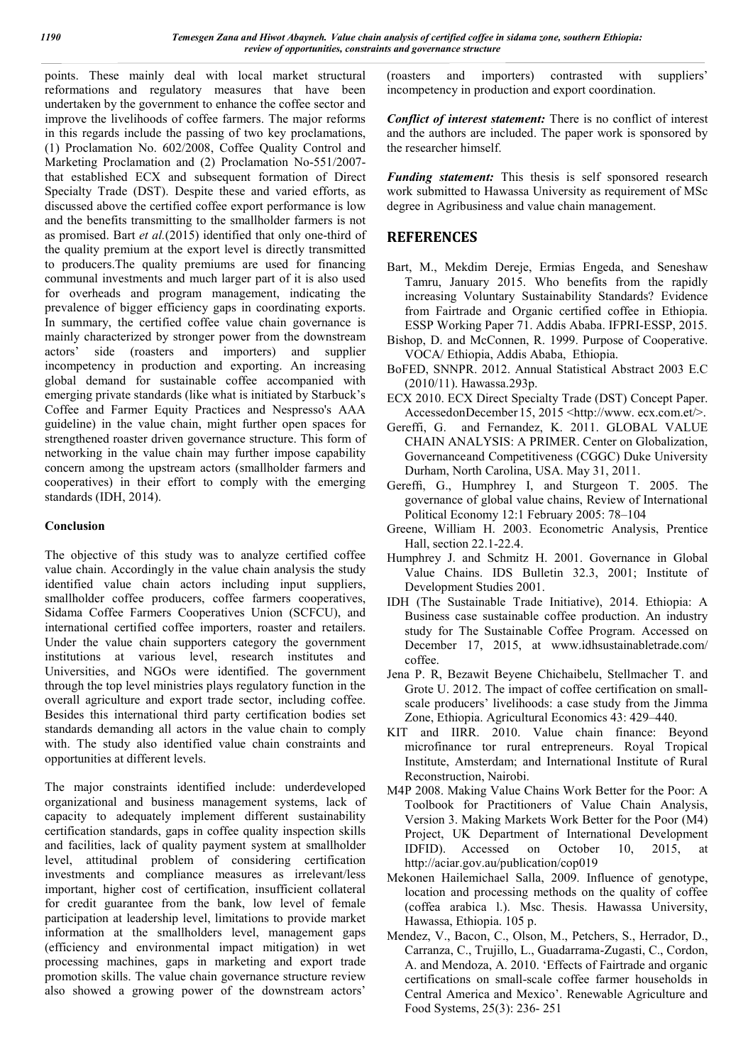points. These mainly deal with local market structural reformations and regulatory measures that have been undertaken by the government to enhance the coffee sector and improve the livelihoods of coffee farmers. The major reforms in this regards include the passing of two key proclamations, (1) Proclamation No. 602/2008, Coffee Quality Control and Marketing Proclamation and (2) Proclamation No-551/2007 that established ECX and subsequent formation of Direct Specialty Trade (DST). Despite these and varied efforts, as discussed above the certified coffee export performance is low and the benefits transmitting to the smallholder farmers is not as promised. Bart *et al.*(2015) identified that only one-third of the quality premium at the export level is directly transmitted to producers.The quality premiums are used for financing communal investments and much larger part of it is also used for overheads and program management, indicating the prevalence of bigger efficiency gaps in coordinating exports. In summary, the certified coffee value chain governance is mainly characterized by stronger power from the downstream actors' side (roasters and importers) and supplier incompetency in production and exporting. An increasing global demand for sustainable coffee accompanied with emerging private standards (like what is initiated by Starbuck's Coffee and Farmer Equity Practices and Nespresso's AAA guideline) in the value chain, might further open spaces for strengthened roaster driven governance structure. This form of networking in the value chain may further impose capability concern among the upstream actors (smallholder farmers and cooperatives) in their effort to comply with the emerging standards (IDH, 2014).

#### **Conclusion**

The objective of this study was to analyze certified coffee value chain. Accordingly in the value chain analysis the study identified value chain actors including input suppliers, smallholder coffee producers, coffee farmers cooperatives, Sidama Coffee Farmers Cooperatives Union (SCFCU), and international certified coffee importers, roaster and retailers. Under the value chain supporters category the government institutions at various level, research institutes and Universities, and NGOs were identified. The government through the top level ministries plays regulatory function in the overall agriculture and export trade sector, including coffee. Besides this international third party certification bodies set standards demanding all actors in the value chain to comply with. The study also identified value chain constraints and opportunities at different levels.

The major constraints identified include: underdeveloped organizational and business management systems, lack of capacity to adequately implement different sustainability certification standards, gaps in coffee quality inspection skills and facilities, lack of quality payment system at smallholder level, attitudinal problem of considering certification investments and compliance measures as irrelevant/less important, higher cost of certification, insufficient collateral for credit guarantee from the bank, low level of female participation at leadership level, limitations to provide market information at the smallholders level, management gaps (efficiency and environmental impact mitigation) in wet processing machines, gaps in marketing and export trade promotion skills. The value chain governance structure review also showed a growing power of the downstream actors'

(roasters and importers) contrasted with suppliers' incompetency in production and export coordination.

*Conflict of interest statement:* There is no conflict of interest and the authors are included. The paper work is sponsored by the researcher himself.

*Funding statement:* This thesis is self sponsored research work submitted to Hawassa University as requirement of MSc degree in Agribusiness and value chain management.

### **REFERENCES**

- Bart, M., Mekdim Dereje, Ermias Engeda, and Seneshaw Tamru, January 2015. Who benefits from the rapidly increasing Voluntary Sustainability Standards? Evidence from Fairtrade and Organic certified coffee in Ethiopia. ESSP Working Paper 71. Addis Ababa. IFPRI-ESSP, 2015.
- Bishop, D. and McConnen, R. 1999. Purpose of Cooperative. VOCA/ Ethiopia, Addis Ababa, Ethiopia.
- BoFED, SNNPR. 2012. Annual Statistical Abstract 2003 E.C (2010/11). Hawassa.293p.
- ECX 2010. ECX Direct Specialty Trade (DST) Concept Paper. AccessedonDecember 15, 2015 <http://www. ecx.com.et/>.
- Gereffi, G. and Fernandez, K. 2011. GLOBAL VALUE CHAIN ANALYSIS: A PRIMER. Center on Globalization, Governanceand Competitiveness (CGGC) Duke University Durham, North Carolina, USA. May 31, 2011.
- Gereffi, G., Humphrey I, and Sturgeon T. 2005. The governance of global value chains, Review of International Political Economy 12:1 February 2005: 78–104
- Greene, William H. 2003. Econometric Analysis, Prentice Hall, section 22.1-22.4.
- Humphrey J. and Schmitz H. 2001. Governance in Global Value Chains. IDS Bulletin 32.3, 2001; Institute of Development Studies 2001.
- IDH (The Sustainable Trade Initiative), 2014. Ethiopia: A Business case sustainable coffee production. An industry study for The Sustainable Coffee Program. Accessed on December 17, 2015, at www.idhsustainabletrade.com/ coffee.
- Jena P. R, Bezawit Beyene Chichaibelu, Stellmacher T. and Grote U. 2012. The impact of coffee certification on smallscale producers' livelihoods: a case study from the Jimma Zone, Ethiopia. Agricultural Economics 43: 429–440.
- KIT and IIRR. 2010. Value chain finance: Beyond microfinance tor rural entrepreneurs. Royal Tropical Institute, Amsterdam; and International Institute of Rural Reconstruction, Nairobi.
- M4P 2008. Making Value Chains Work Better for the Poor: A Toolbook for Practitioners of Value Chain Analysis, Version 3. Making Markets Work Better for the Poor (M4) Project, UK Department of International Development<br>IDFID). Accessed on October 10, 2015, at IDFID). Accessed on October 10, 2015, at http://aciar.gov.au/publication/cop019
- Mekonen Hailemichael Salla, 2009. Influence of genotype, location and processing methods on the quality of coffee (coffea arabica l.). Msc. Thesis. Hawassa University, Hawassa, Ethiopia. 105 p.
- Mendez, V., Bacon, C., Olson, M., Petchers, S., Herrador, D., Carranza, C., Trujillo, L., Guadarrama-Zugasti, C., Cordon, A. and Mendoza, A. 2010. 'Effects of Fairtrade and organic certifications on small-scale coffee farmer households in Central America and Mexico'. Renewable Agriculture and Food Systems, 25(3): 236- 251